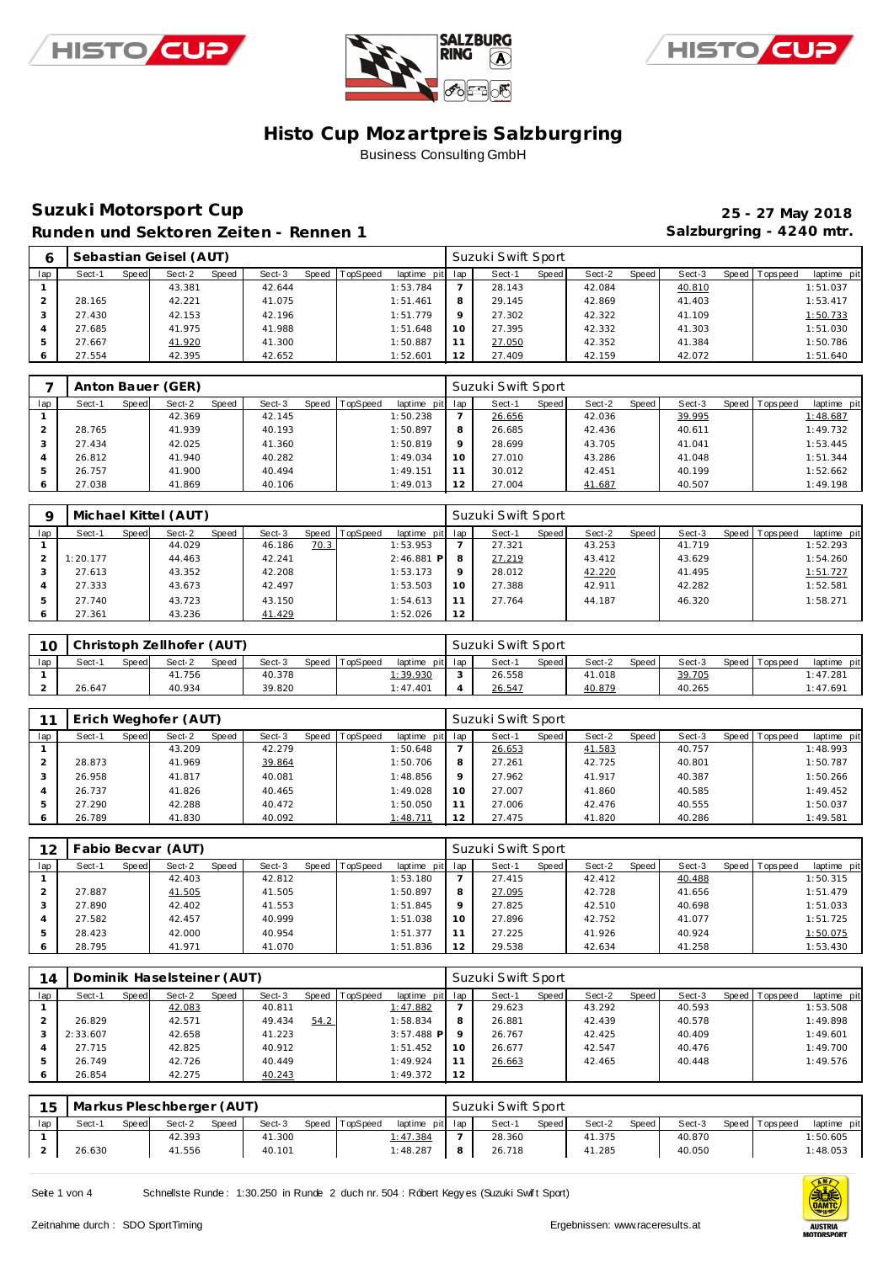





## **Suzuki Motorsport Cup 25 - 27 May 2018** Runden und Sektoren Zeiten - Rennen 1 **Bei der Einer Standen und Sektoren Zeiten - Rennen 1 Salzburgring - 4240 mtr.**

| 6   |        |       | Sebastian Geisel (AUT) |       |        |                |                 |         | Suzuki Swift Sport |       |        |       |        |                |             |
|-----|--------|-------|------------------------|-------|--------|----------------|-----------------|---------|--------------------|-------|--------|-------|--------|----------------|-------------|
| lap | Sect-1 | Speed | Sect-2                 | Speed | Sect-3 | Speed TopSpeed | laptime pit lap |         | Sect-1             | Speed | Sect-2 | Speed | Sect-3 | Speed Topspeed | laptime pit |
|     |        |       | 43.381                 |       | 42.644 |                | 1:53.784        |         | 28.143             |       | 42.084 |       | 40.810 |                | 1:51.037    |
|     | 28.165 |       | 42.221                 |       | 41.075 |                | 1:51.461        | 8       | 29.145             |       | 42.869 |       | 41.403 |                | 1:53.417    |
| 3   | 27.430 |       | 42.153                 |       | 42.196 |                | 1:51.779        | $\circ$ | 27.302             |       | 42.322 |       | 41.109 |                | 1:50.733    |
|     | 27.685 |       | 41.975                 |       | 41.988 |                | 1:51.648        | 10      | 27.395             |       | 42.332 |       | 41.303 |                | 1:51.030    |
|     | 27.667 |       | 41.920                 |       | 41.300 |                | 1:50.887        | 11      | 27.050             |       | 42.352 |       | 41.384 |                | 1:50.786    |
| 6   | 27.554 |       | 42.395                 |       | 42.652 |                | 1:52.601        | 12      | 27.409             |       | 42.159 |       | 42.072 |                | 1:51.640    |

|     |        |       | Anton Bauer (GER) |       |        |                |                 |         | Suzuki Swift Sport |       |        |         |        |                |             |
|-----|--------|-------|-------------------|-------|--------|----------------|-----------------|---------|--------------------|-------|--------|---------|--------|----------------|-------------|
| lap | Sect-1 | Speed | Sect-2            | Speed | Sect-3 | Speed TopSpeed | laptime pit lap |         | Sect-1             | Speed | Sect-2 | Speed ! | Sect-3 | Speed Topspeed | laptime pit |
|     |        |       | 42.369            |       | 42.145 |                | 1:50.238        |         | 26.656             |       | 42.036 |         | 39.995 |                | 1:48.687    |
|     | 28.765 |       | 41.939            |       | 40.193 |                | 1:50.897        | 8       | 26.685             |       | 42.436 |         | 40.611 |                | 1:49.732    |
|     | 27.434 |       | 42.025            |       | 41.360 |                | 1:50.819        | $\circ$ | 28.699             |       | 43.705 |         | 41.041 |                | 1:53.445    |
|     | 26.812 |       | 41.940            |       | 40.282 |                | 1:49.034        | 10      | 27.010             |       | 43.286 |         | 41.048 |                | 1:51.344    |
| 5   | 26.757 |       | 41.900            |       | 40.494 |                | 1:49.151        |         | 30.012             |       | 42.451 |         | 40.199 |                | 1:52.662    |
|     | 27.038 |       | 41.869            |       | 40.106 |                | 1:49.013        | 12      | 27.004             |       | 41.687 |         | 40.507 |                | 1:49.198    |

| O       |          |       | Michael Kittel (AUT) |       |        |       |          |                 |    | Suzuki Swift Sport |       |        |       |        |                |             |
|---------|----------|-------|----------------------|-------|--------|-------|----------|-----------------|----|--------------------|-------|--------|-------|--------|----------------|-------------|
| lap     | Sect-1   | Speed | Sect-2               | Speed | Sect-3 | Speed | TopSpeed | laptime pit lap |    | Sect-1             | Speed | Sect-2 | Speed | Sect-3 | Speed Topspeed | laptime pit |
|         |          |       | 44.029               |       | 46.186 | 70.3  |          | 1:53.953        |    | 27.321             |       | 43.253 |       | 41.719 |                | 1:52.293    |
|         | 1:20.177 |       | 44.463               |       | 42.241 |       |          | $2:46.881$ P    | 8  | 27.219             |       | 43.412 |       | 43.629 |                | 1:54.260    |
|         | 27.613   |       | 43.352               |       | 42.208 |       |          | 1:53.173        |    | 28.012             |       | 42.220 |       | 41.495 |                | 1:51.727    |
|         | 27.333   |       | 43.673               |       | 42.497 |       |          | 1:53.503        | 10 | 27.388             |       | 42.911 |       | 42.282 |                | 1:52.581    |
|         | 27.740   |       | 43.723               |       | 43.150 |       |          | 1:54.613        |    | 27.764             |       | 44.187 |       | 46.320 |                | 1:58.271    |
| $\circ$ | 27.361   |       | 43.236               |       | 41.429 |       |          | 1:52.026        | 12 |                    |       |        |       |        |                |             |

| 10  |        |              | Christoph Zellhofer (AUT) |       |        |       |          |                 |         | Suzuki Swift Sport |              |        |       |        |                |                |
|-----|--------|--------------|---------------------------|-------|--------|-------|----------|-----------------|---------|--------------------|--------------|--------|-------|--------|----------------|----------------|
| lap | Sect-1 | <b>Speed</b> | Sect-2                    | Speed | Sect-3 | Speed | TopSpeed | laptime         | pit lap | Sect-              | <b>Speed</b> | Sect-2 | Speed | Sect-3 | Speed Topspeed | pit<br>laptime |
|     |        |              | 41.756                    |       | 40.378 |       |          | <u>1:39.930</u> | $\sim$  | 26.558             |              | 41.018 |       | 39.705 |                | 1:47.281       |
|     | 26.647 |              | 40.934                    |       | 39.820 |       |          | 1:47.401        |         | 26.547             |              | 40.879 |       | 40.265 |                | 1:47.691       |

|     |        |       | Erich Weghofer (AUT) |       |        |       |                 |                 |          | Suzuki Swift Sport |       |        |       |        |                |             |
|-----|--------|-------|----------------------|-------|--------|-------|-----------------|-----------------|----------|--------------------|-------|--------|-------|--------|----------------|-------------|
| lap | Sect-1 | Speed | Sect-2               | Speed | Sect-3 | Speed | <b>TopSpeed</b> | laptime pit lap |          | Sect-1             | Speed | Sect-2 | Speed | Sect-3 | Speed Topspeed | laptime pit |
|     |        |       | 43.209               |       | 42.279 |       |                 | 1:50.648        |          | 26.653             |       | 41.583 |       | 40.757 |                | 1:48.993    |
|     | 28.873 |       | 41.969               |       | 39.864 |       |                 | 1:50.706        | O        | 27.261             |       | 42.725 |       | 40.801 |                | 1:50.787    |
|     | 26.958 |       | 41.817               |       | 40.081 |       |                 | 1:48.856        | $\Omega$ | 27.962             |       | 41.917 |       | 40.387 |                | 1:50.266    |
|     | 26.737 |       | 41.826               |       | 40.465 |       |                 | 1:49.028        | 10       | 27.007             |       | 41.860 |       | 40.585 |                | 1:49.452    |
|     | 27.290 |       | 42.288               |       | 40.472 |       |                 | 1:50.050        |          | 27.006             |       | 42.476 |       | 40.555 |                | 1:50.037    |
|     | 26.789 |       | 41.830               |       | 40.092 |       |                 | 1:48.711        | 12       | 27.475             |       | 41.820 |       | 40.286 |                | 1:49.581    |

| 12  | Fabio Becvar (AUT) |       |        |       |        |                |                 |    | Suzuki Swift Sport |       |        |       |        |                |             |
|-----|--------------------|-------|--------|-------|--------|----------------|-----------------|----|--------------------|-------|--------|-------|--------|----------------|-------------|
| lap | Sect-1             | Speed | Sect-2 | Speed | Sect-3 | Speed TopSpeed | laptime pit lap |    | Sect-1             | Speed | Sect-2 | Speed | Sect-3 | Speed Topspeed | laptime pit |
|     |                    |       | 42.403 |       | 42.812 |                | 1:53.180        |    | 27.415             |       | 42.412 |       | 40.488 |                | 1:50.315    |
|     | 27.887             |       | 41.505 |       | 41.505 |                | 1:50.897        | 8  | 27.095             |       | 42.728 |       | 41.656 |                | 1:51.479    |
|     | 27.890             |       | 42.402 |       | 41.553 |                | 1:51.845        |    | 27.825             |       | 42.510 |       | 40.698 |                | 1:51.033    |
| 4   | 27.582             |       | 42.457 |       | 40.999 |                | 1:51.038        | 10 | 27.896             |       | 42.752 |       | 41.077 |                | 1:51.725    |
|     | 28.423             |       | 42.000 |       | 40.954 |                | 1:51.377        |    | 27.225             |       | 41.926 |       | 40.924 |                | 1:50.075    |
|     | 28.795             |       | 41.971 |       | 41.070 |                | 1:51.836        | 12 | 29.538             |       | 42.634 |       | 41.258 |                | 1:53.430    |

| 14  |          |       | Dominik Haselsteiner (AUT) |       |        |      |                |              |     | Suzuki Swift Sport |       |        |       |        |                |             |
|-----|----------|-------|----------------------------|-------|--------|------|----------------|--------------|-----|--------------------|-------|--------|-------|--------|----------------|-------------|
| lap | Sect-1   | Speed | Sect-2                     | Speed | Sect-3 |      | Speed TopSpeed | laptime pit  | lap | Sect-1             | Speed | Sect-2 | Speed | Sect-3 | Speed Topspeed | laptime pit |
|     |          |       | 42.083                     |       | 40.811 |      |                | 1:47.882     |     | 29.623             |       | 43.292 |       | 40.593 |                | 1:53.508    |
|     | 26.829   |       | 42.571                     |       | 49.434 | 54.2 |                | 1:58.834     | 8   | 26.881             |       | 42.439 |       | 40.578 |                | 1:49.898    |
| 3   | 2:33.607 |       | 42.658                     |       | 41.223 |      |                | $3:57.488$ P |     | 26.767             |       | 42.425 |       | 40.409 |                | 1:49.601    |
| 4   | 27.715   |       | 42.825                     |       | 40.912 |      |                | 1:51.452     | 10  | 26.677             |       | 42.547 |       | 40.476 |                | 1:49.700    |
|     | 26.749   |       | 42.726                     |       | 40.449 |      |                | 1:49.924     | 11  | 26.663             |       | 42.465 |       | 40.448 |                | 1:49.576    |
| 6   | 26.854   |       | 42.275                     |       | 40.243 |      |                | 1:49.372     | 12  |                    |       |        |       |        |                |             |

|     | 15   Markus Pleschberger (AUT) |              |        |       |        |                |                 |   | Suzuki Swift Sport |         |        |       |        |                 |             |
|-----|--------------------------------|--------------|--------|-------|--------|----------------|-----------------|---|--------------------|---------|--------|-------|--------|-----------------|-------------|
| lap | Sect-1                         | <b>Speed</b> | Sect-2 | Speed | Sect-3 | Speed TopSpeed | laptime pit lap |   | Sect-1             | Speed I | Sect-2 | Speed | Sect-3 | Speed Tops peed | laptime pit |
|     |                                |              | 42.393 |       | 41.300 |                | 1:47.384        |   | 28.360             |         | 41.375 |       | 40.870 |                 | 1:50.605    |
|     | 26.630                         |              | 41.556 |       | 40.101 |                | 1:48.287        | 8 | 26.718             |         | 41.285 |       | 40.050 |                 | 1:48.053    |

Seite 1 von 4 Schnellste Runde: 1:30.250 in Runde 2 duch nr. 504 : Róbert Kegy es (Suzuki Swift Sport)

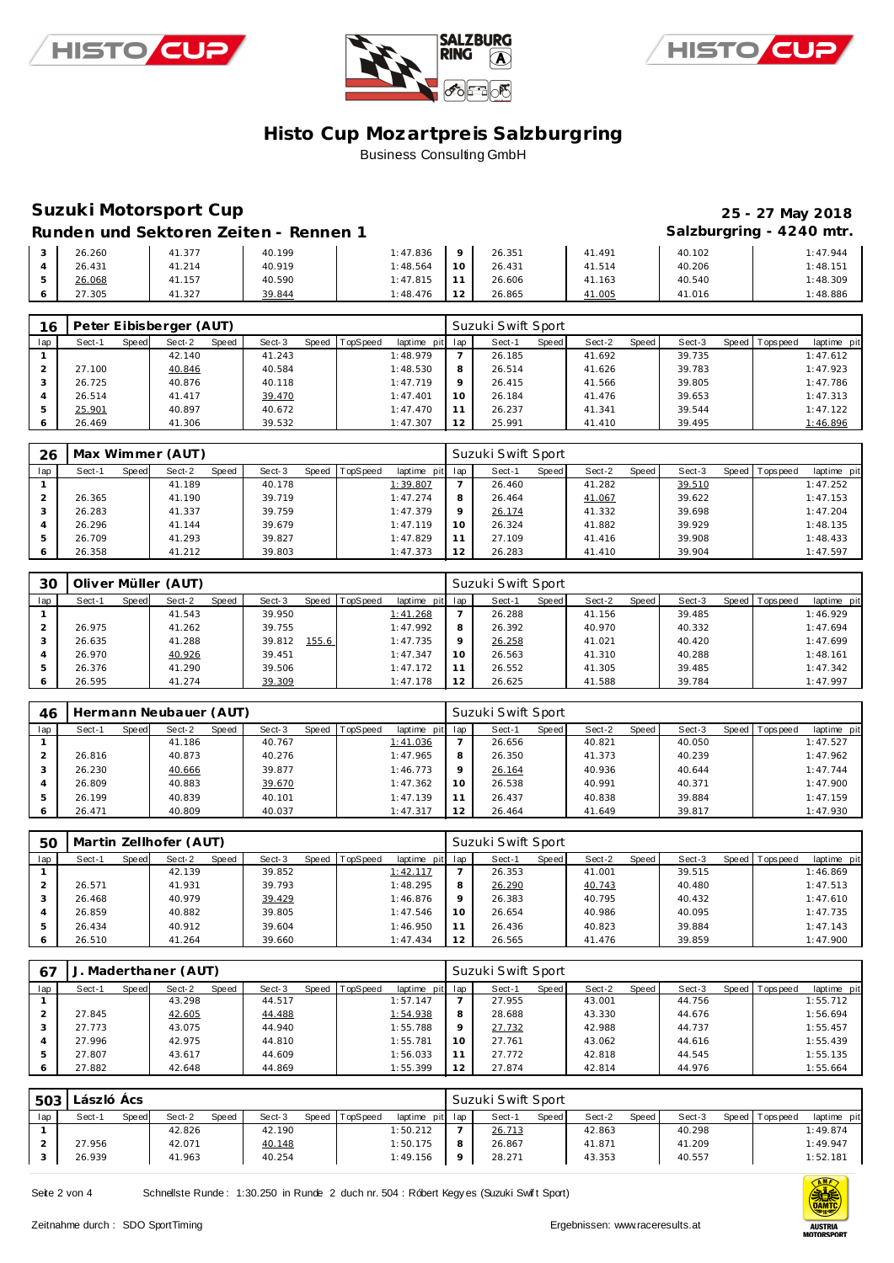





# **Suzuki Motorsport Cup 25 - 27 May 2018**

Runden und Sektoren Zeiten - Rennen 1 **an alzweiter Statzburgring - 4240 mtr.** 

| 26.260 | 41.377 | 40.199 | 1:47.836 |        | 26.351 | 41.491 | 40.102 | 1:47.944 |
|--------|--------|--------|----------|--------|--------|--------|--------|----------|
| 26.431 | 41.214 | 40.919 | 1:48.564 | $\sim$ | 26.431 | 41.514 | 40.206 | 1:48.151 |
| 26.068 | 41.157 | 40.590 | 1:47.815 |        | 26.606 | 41.163 | 40.540 | 1:48.309 |
| 27.305 | 41.327 | 39.844 | 1:48.476 | $\sim$ | 26.865 | 41.005 | 41.016 | 1:48.886 |

| 16  |        |       | Peter Eibisberger (AUT) |       |        |       |                 |                 |    | Suzuki Swift Sport |       |        |       |        |                 |             |
|-----|--------|-------|-------------------------|-------|--------|-------|-----------------|-----------------|----|--------------------|-------|--------|-------|--------|-----------------|-------------|
| lap | Sect-1 | Speed | Sect-2                  | Speed | Sect-3 | Speed | <b>TopSpeed</b> | laptime pit lap |    | Sect-1             | Speed | Sect-2 | Speed | Sect-3 | Speed Tops peed | laptime pit |
|     |        |       | 42.140                  |       | 41.243 |       |                 | 1:48.979        |    | 26.185             |       | 41.692 |       | 39.735 |                 | 1:47.612    |
|     | 27.100 |       | 40.846                  |       | 40.584 |       |                 | 1:48.530        | 8  | 26.514             |       | 41.626 |       | 39.783 |                 | 1:47.923    |
|     | 26.725 |       | 40.876                  |       | 40.118 |       |                 | 1:47.719        |    | 26.415             |       | 41.566 |       | 39.805 |                 | 1:47.786    |
|     | 26.514 |       | 41.417                  |       | 39.470 |       |                 | 1:47.401        | 10 | 26.184             |       | 41.476 |       | 39.653 |                 | 1:47.313    |
|     | 25.901 |       | 40.897                  |       | 40.672 |       |                 | 1:47.470        |    | 26.237             |       | 41.341 |       | 39.544 |                 | 1:47.122    |
|     | 26.469 |       | 41.306                  |       | 39.532 |       |                 | 1:47.307        |    | 25.991             |       | 41.410 |       | 39.495 |                 | 1:46.896    |

| 26  |        |       | Max Wimmer (AUT) |       |        |       |          |             |     | Suzuki Swift Sport |              |        |       |        |       |            |             |
|-----|--------|-------|------------------|-------|--------|-------|----------|-------------|-----|--------------------|--------------|--------|-------|--------|-------|------------|-------------|
| lap | Sect-1 | Speed | Sect-2           | Speed | Sect-3 | Speed | TopSpeed | laptime pit | lap | Sect-1             | <b>Speed</b> | Sect-2 | Speed | Sect-3 | Speed | Tops pee d | laptime pit |
|     |        |       | 41.189           |       | 40.178 |       |          | 1:39.807    |     | 26.460             |              | 41.282 |       | 39.510 |       |            | 1:47.252    |
|     | 26.365 |       | 41.190           |       | 39.719 |       |          | 1:47.274    | 8   | 26.464             |              | 41.067 |       | 39.622 |       |            | 1:47.153    |
|     | 26.283 |       | 41.337           |       | 39.759 |       |          | 1:47.379    | Q   | 26.174             |              | 41.332 |       | 39.698 |       |            | 1:47.204    |
|     | 26.296 |       | 41.144           |       | 39.679 |       |          | 1:47.119    | 10  | 26.324             |              | 41.882 |       | 39.929 |       |            | 1:48.135    |
|     | 26.709 |       | 41.293           |       | 39.827 |       |          | 1:47.829    | 11  | 27.109             |              | 41.416 |       | 39.908 |       |            | 1:48.433    |
|     | 26.358 |       | 41.212           |       | 39.803 |       |          | 1:47.373    | 12  | 26.283             |              | 41.410 |       | 39.904 |       |            | 1:47.597    |

| 30  |        |       | Oliver Müller (AUT) |       |        |       |          |             |     | Suzuki Swift Sport |         |        |       |        |                 |             |
|-----|--------|-------|---------------------|-------|--------|-------|----------|-------------|-----|--------------------|---------|--------|-------|--------|-----------------|-------------|
| lap | Sect-1 | Speed | Sect-2              | Speed | Sect-3 | Speed | TopSpeed | laptime pit | lap | Sect-1             | Speed I | Sect-2 | Speed | Sect-3 | Speed Tops peed | laptime pit |
|     |        |       | 41.543              |       | 39.950 |       |          | 1:41.268    |     | 26.288             |         | 41.156 |       | 39.485 |                 | 1:46.929    |
|     | 26.975 |       | 41.262              |       | 39.755 |       |          | 1:47.992    | 8   | 26.392             |         | 40.970 |       | 40.332 |                 | 1:47.694    |
|     | 26.635 |       | 41.288              |       | 39.812 | 155.6 |          | 1:47.735    |     | 26.258             |         | 41.021 |       | 40.420 |                 | 1:47.699    |
|     | 26.970 |       | 40.926              |       | 39.451 |       |          | 1:47.347    | 10  | 26.563             |         | 41.310 |       | 40.288 |                 | 1:48.161    |
| ь   | 26.376 |       | 41.290              |       | 39.506 |       |          | 1:47.172    |     | 26.552             |         | 41.305 |       | 39.485 |                 | 1:47.342    |
|     | 26.595 |       | 41.274              |       | 39.309 |       |          | 1:47.178    | 12  | 26.625             |         | 41.588 |       | 39.784 |                 | 1:47.997    |

| 46  |        |       | Hermann Neubauer (AUT) |       |        |                |                 |         | Suzuki Swift Sport |              |        |       |        |         |                   |             |
|-----|--------|-------|------------------------|-------|--------|----------------|-----------------|---------|--------------------|--------------|--------|-------|--------|---------|-------------------|-------------|
| lap | Sect-1 | Speed | Sect-2                 | Speed | Sect-3 | Speed TopSpeed | laptime pit lap |         | Sect-1             | <b>Speed</b> | Sect-2 | Speed | Sect-3 | Speed I | <b>T</b> ops peed | laptime pit |
|     |        |       | 41.186                 |       | 40.767 |                | 1:41.036        |         | 26.656             |              | 40.821 |       | 40.050 |         |                   | 1:47.527    |
|     | 26.816 |       | 40.873                 |       | 40.276 |                | 1:47.965        | 8       | 26.350             |              | 41.373 |       | 40.239 |         |                   | 1:47.962    |
| 3   | 26.230 |       | 40.666                 |       | 39.877 |                | 1:46.773        | $\circ$ | 26.164             |              | 40.936 |       | 40.644 |         |                   | 1:47.744    |
| 4   | 26.809 |       | 40.883                 |       | 39.670 |                | 1:47.362        | 10      | 26.538             |              | 40.991 |       | 40.371 |         |                   | 1:47.900    |
| 5   | 26.199 |       | 40.839                 |       | 40.101 |                | 1:47.139        | 11      | 26.437             |              | 40.838 |       | 39.884 |         |                   | 1:47.159    |
|     | 26.471 |       | 40.809                 |       | 40.037 |                | 1:47.317        | 12      | 26.464             |              | 41.649 |       | 39.817 |         |                   | 1:47.930    |

| 50            |        |       | Martin Zellhofer (AUT) |       |        |                |                 |    | Suzuki Swift Sport |       |        |       |        |                   |             |
|---------------|--------|-------|------------------------|-------|--------|----------------|-----------------|----|--------------------|-------|--------|-------|--------|-------------------|-------------|
| lap           | Sect-1 | Speed | Sect-2                 | Speed | Sect-3 | Speed TopSpeed | laptime pit lap |    | Sect-1             | Speed | Sect-2 | Speed | Sect-3 | Speed   Tops peed | laptime pit |
|               |        |       | 42.139                 |       | 39.852 |                | 1:42.117        |    | 26.353             |       | 41.001 |       | 39.515 |                   | 1:46.869    |
|               | 26.571 |       | 41.931                 |       | 39.793 |                | 1:48.295        | 8  | 26.290             |       | 40.743 |       | 40.480 |                   | 1:47.513    |
|               | 26.468 |       | 40.979                 |       | 39.429 |                | 1:46.876        |    | 26.383             |       | 40.795 |       | 40.432 |                   | 1:47.610    |
|               | 26.859 |       | 40.882                 |       | 39.805 |                | 1:47.546        |    | 26.654             |       | 40.986 |       | 40.095 |                   | 1:47.735    |
| $\mathcal{D}$ | 26.434 |       | 40.912                 |       | 39.604 |                | 1:46.950        |    | 26.436             |       | 40.823 |       | 39.884 |                   | 1:47.143    |
|               | 26.510 |       | 41.264                 |       | 39.660 |                | 1:47.434        | 12 | 26.565             |       | 41.476 |       | 39.859 |                   | 1:47.900    |

| 67  |        |       | Maderthaner (AUT) |       |        |                |                 |                 | Suzuki Swift Sport |       |        |       |        |                |             |
|-----|--------|-------|-------------------|-------|--------|----------------|-----------------|-----------------|--------------------|-------|--------|-------|--------|----------------|-------------|
| lap | Sect-1 | Speed | Sect-2            | Speed | Sect-3 | Speed TopSpeed | laptime pit lap |                 | Sect-1             | Speed | Sect-2 | Speed | Sect-3 | Speed Topspeed | laptime pit |
|     |        |       | 43.298            |       | 44.517 |                | 1:57.147        |                 | 27.955             |       | 43.001 |       | 44.756 |                | 1:55.712    |
|     | 27.845 |       | 42.605            |       | 44.488 |                | 1:54.938        | 8               | 28.688             |       | 43.330 |       | 44.676 |                | 1:56.694    |
|     | 27.773 |       | 43.075            |       | 44.940 |                | 1:55.788        | $\circ$         | 27.732             |       | 42.988 |       | 44.737 |                | 1:55.457    |
|     | 27.996 |       | 42.975            |       | 44.810 |                | 1:55.781        | 10 <sup>°</sup> | 27.761             |       | 43.062 |       | 44.616 |                | 1:55.439    |
|     | 27.807 |       | 43.617            |       | 44.609 |                | 1:56.033        | 11              | 27.772             |       | 42.818 |       | 44.545 |                | 1:55.135    |
|     | 27.882 |       | 42.648            |       | 44.869 |                | 1:55.399        | 12              | 27.874             |       | 42.814 |       | 44.976 |                | 1:55.664    |

| 503 | László Ács |       |        |       |        |       |          |                 |   | Suzuki Swift Sport |              |        |       |        |                |             |
|-----|------------|-------|--------|-------|--------|-------|----------|-----------------|---|--------------------|--------------|--------|-------|--------|----------------|-------------|
| lap | Sect-1     | Speed | Sect-2 | Speed | Sect-3 | Speed | TopSpeed | laptime pit lap |   | Sect-1             | <b>Speed</b> | Sect-2 | Speed | Sect-3 | Speed Topspeed | laptime pit |
|     |            |       | 42.826 |       | 42.190 |       |          | 1:50.212        |   | 26.713             |              | 42.863 |       | 40.298 |                | 1:49.874    |
|     | 27.956     |       | 42.071 |       | 40.148 |       |          | 1:50.175        | 8 | 26.867             |              | 41.871 |       | 41.209 |                | 1:49.947    |
|     | 26.939     |       | 41.963 |       | 40.254 |       |          | 1:49.156        |   | 28.271             |              | 43.353 |       | 40.557 |                | 1:52.181    |

Seite 2 von 4 Schnellste Runde : 1:30.250 in Runde 2 duch nr. 504 : Róbert Kegy es (Suzuki Swift Sport)

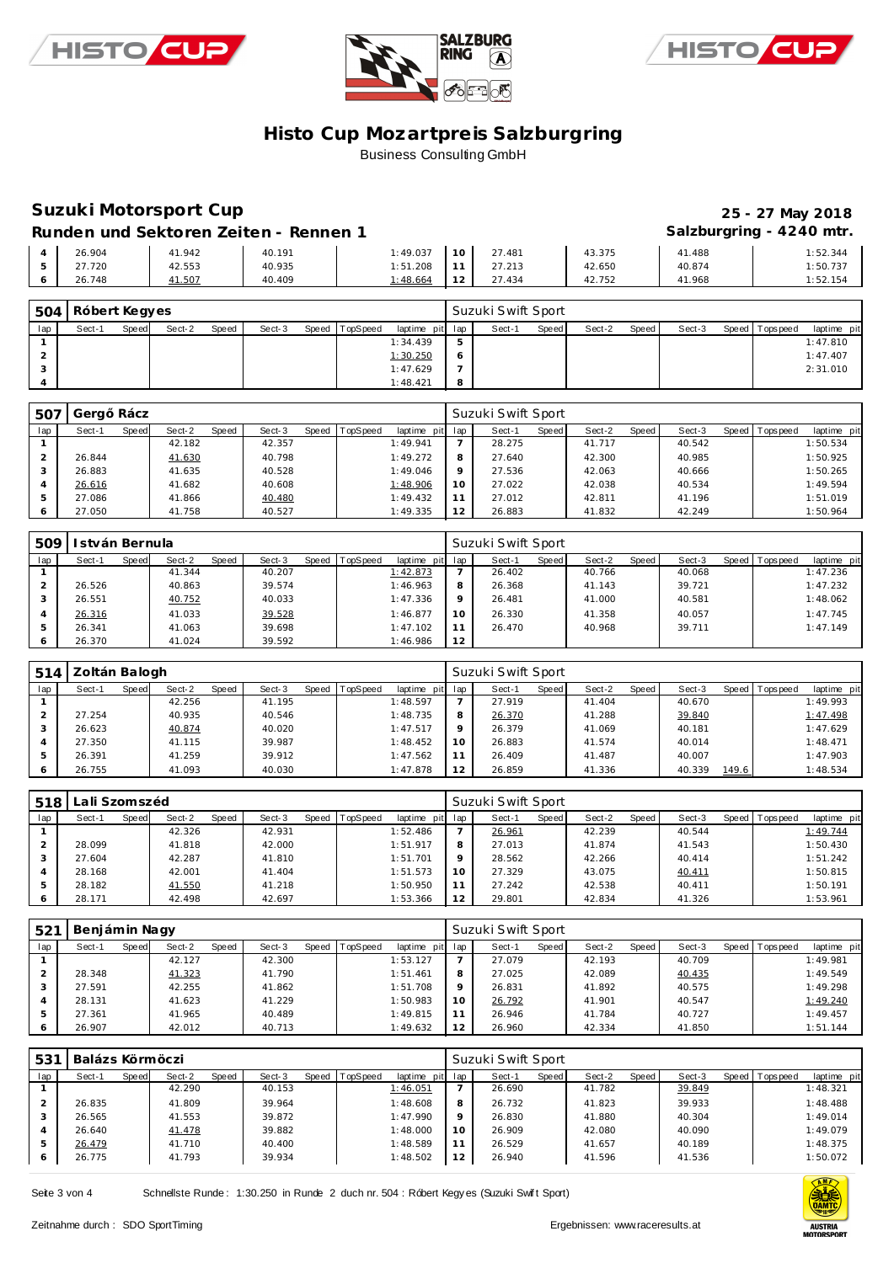





# **Suzuki Motorsport Cup 25 - 27 May 2018**

Runden und Sektoren Zeiten - Rennen 1 **Bei der Einer Standen und Sektoren Zeiten - Rennen 1 Salzburgring - 4240 mtr.** 

|  |        |        | ____   |          |               |        |        | ~      | $\tilde{\phantom{a}}$ |
|--|--------|--------|--------|----------|---------------|--------|--------|--------|-----------------------|
|  | 26.904 | 41.942 | 40.191 | : 49.037 | $\sim$        | 27.481 | 43.375 | 41.488 | :52.344               |
|  | .720   | 42.553 | 40.935 | 1:51.208 | - -           | 27.213 | 42.650 | 40.874 | 1:50.737              |
|  | 26.748 | 41.507 | 40.409 | 1:48.664 | $\sim$ $\sim$ | 27.434 | 42.752 | 41.968 | 1:52.154              |

| 504 | Róbert Kegyes<br>Sect-2<br>Speed<br>Sect-3<br>Speed TopSpeed<br>Speed<br>Sect-1 |  |  |  |  |  |                 |  | Suzuki Swift Sport |       |        |       |        |                 |             |
|-----|---------------------------------------------------------------------------------|--|--|--|--|--|-----------------|--|--------------------|-------|--------|-------|--------|-----------------|-------------|
| lap |                                                                                 |  |  |  |  |  | laptime pit lap |  | Sect-1             | Speed | Sect-2 | Speed | Sect-3 | Speed Tops peed | laptime pit |
|     |                                                                                 |  |  |  |  |  | 1:34.439        |  |                    |       |        |       |        |                 | 1:47.810    |
|     |                                                                                 |  |  |  |  |  | 1:30.250        |  |                    |       |        |       |        |                 | 1:47.407    |
|     |                                                                                 |  |  |  |  |  | 1:47.629        |  |                    |       |        |       |        |                 | 2:31.010    |
|     |                                                                                 |  |  |  |  |  | 1:48.421        |  |                    |       |        |       |        |                 |             |

| -507 | Gera   | Rácz  |        |       |        |       |                 |                 |         | Suzuki Swift Sport |       |        |       |        |                |             |
|------|--------|-------|--------|-------|--------|-------|-----------------|-----------------|---------|--------------------|-------|--------|-------|--------|----------------|-------------|
| lap  | Sect-1 | Speed | Sect-2 | Speed | Sect-3 | Speed | <b>TopSpeed</b> | laptime pit lap |         | Sect-1             | Speed | Sect-2 | Speed | Sect-3 | Speed Topspeed | laptime pit |
|      |        |       | 42.182 |       | 42.357 |       |                 | 1:49.941        |         | 28.275             |       | 41.717 |       | 40.542 |                | 1:50.534    |
|      | 26.844 |       | 41.630 |       | 40.798 |       |                 | 1:49.272        | 8       | 27.640             |       | 42.300 |       | 40.985 |                | 1:50.925    |
|      | 26.883 |       | 41.635 |       | 40.528 |       |                 | 1:49.046        | $\circ$ | 27.536             |       | 42.063 |       | 40.666 |                | 1:50.265    |
|      | 26.616 |       | 41.682 |       | 40.608 |       |                 | 1:48.906        | 10      | 27.022             |       | 42.038 |       | 40.534 |                | 1:49.594    |
|      | 27.086 |       | 41.866 |       | 40.480 |       |                 | 1:49.432        | 11      | 27.012             |       | 42.811 |       | 41.196 |                | 1:51.019    |
|      | 27.050 |       | 41.758 |       | 40.527 |       |                 | 1:49.335        | 12      | 26.883             |       | 41.832 |       | 42.249 |                | 1:50.964    |

| 509 | stván Bernula |       |        |       |        |                |             |             | Suzuki Swift Sport |       |        |       |        |                |             |
|-----|---------------|-------|--------|-------|--------|----------------|-------------|-------------|--------------------|-------|--------|-------|--------|----------------|-------------|
| lap | Sect-1        | Speed | Sect-2 | Speed | Sect-3 | Speed TopSpeed | laptime pit | lap         | Sect-1             | Speed | Sect-2 | Speed | Sect-3 | Speed Topspeed | laptime pit |
|     |               |       | 41.344 |       | 40.207 |                | 1:42.873    |             | 26.402             |       | 40.766 |       | 40.068 |                | 1:47.236    |
|     | 26.526        |       | 40.863 |       | 39.574 |                | 1:46.963    | 8           | 26.368             |       | 41.143 |       | 39.721 |                | 1:47.232    |
| 3   | 26.551        |       | 40.752 |       | 40.033 |                | 1:47.336    | $\mathsf Q$ | 26.481             |       | 41.000 |       | 40.581 |                | 1:48.062    |
| 4   | 26.316        |       | 41.033 |       | 39.528 |                | 1:46.877    | 10          | 26.330             |       | 41.358 |       | 40.057 |                | 1:47.745    |
| 5   | 26.341        |       | 41.063 |       | 39.698 |                | 1:47.102    |             | 26.470             |       | 40.968 |       | 39.711 |                | 1:47.149    |
|     | 26.370        |       | 41.024 |       | 39.592 |                | 1:46.986    | 12          |                    |       |        |       |        |                |             |

| 514 | Zoltán Balogh |       |        |       |        |                |                 |    | Suzuki Swift Sport |       |        |       |        |       |                |             |
|-----|---------------|-------|--------|-------|--------|----------------|-----------------|----|--------------------|-------|--------|-------|--------|-------|----------------|-------------|
| lap | Sect-1        | Speed | Sect-2 | Speed | Sect-3 | Speed TopSpeed | laptime pit lap |    | Sect-1             | Speed | Sect-2 | Speed | Sect-3 |       | Speed Topspeed | laptime pit |
|     |               |       | 42.256 |       | 41.195 |                | 1:48.597        |    | 27.919             |       | 41.404 |       | 40.670 |       |                | 1:49.993    |
|     | 27.254        |       | 40.935 |       | 40.546 |                | 1:48.735        | 8  | 26.370             |       | 41.288 |       | 39.840 |       |                | 1:47.498    |
|     | 26.623        |       | 40.874 |       | 40.020 |                | 1:47.517        |    | 26.379             |       | 41.069 |       | 40.181 |       |                | 1:47.629    |
|     | 27.350        |       | 41.115 |       | 39.987 |                | 1:48.452        | 10 | 26.883             |       | 41.574 |       | 40.014 |       |                | 1:48.471    |
|     | 26.391        |       | 41.259 |       | 39.912 |                | 1:47.562        |    | 26.409             |       | 41.487 |       | 40.007 |       |                | 1:47.903    |
|     | 26.755        |       | 41.093 |       | 40.030 |                | 1:47.878        | 12 | 26.859             |       | 41.336 |       | 40.339 | 149.6 |                | 1:48.534    |

| 518 | ∟ali Szomszéd |       |        |              |        |       |          |                 |         | Suzuki Swift Sport |       |        |       |        |                 |             |
|-----|---------------|-------|--------|--------------|--------|-------|----------|-----------------|---------|--------------------|-------|--------|-------|--------|-----------------|-------------|
| lap | Sect-1        | Speed | Sect-2 | <b>Speed</b> | Sect-3 | Speed | TopSpeed | laptime pit lap |         | Sect-1             | Speed | Sect-2 | Speed | Sect-3 | Speed Tops peed | laptime pit |
|     |               |       | 42.326 |              | 42.931 |       |          | 1:52.486        |         | 26.961             |       | 42.239 |       | 40.544 |                 | 1:49.744    |
|     | 28.099        |       | 41.818 |              | 42.000 |       |          | 1:51.917        | 8       | 27.013             |       | 41.874 |       | 41.543 |                 | 1:50.430    |
|     | 27.604        |       | 42.287 |              | 41.810 |       |          | 1:51.701        | $\circ$ | 28.562             |       | 42.266 |       | 40.414 |                 | 1:51.242    |
|     | 28.168        |       | 42.001 |              | 41.404 |       |          | 1:51.573        | 10      | 27.329             |       | 43.075 |       | 40.411 |                 | 1:50.815    |
|     | 28.182        |       | 41.550 |              | 41.218 |       |          | 1:50.950        | 1.1     | 27.242             |       | 42.538 |       | 40.411 |                 | 1:50.191    |
|     | 28.171        |       | 42.498 |              | 42.697 |       |          | 1:53.366        | 12      | 29.801             |       | 42.834 |       | 41.326 |                 | 1:53.961    |

| 521 | Benjámin Nagy |       |        |              |        |              |          |                 |         | Suzuki Swift Sport |       |        |       |        |         |            |             |
|-----|---------------|-------|--------|--------------|--------|--------------|----------|-----------------|---------|--------------------|-------|--------|-------|--------|---------|------------|-------------|
| lap | Sect-1        | Speed | Sect-2 | <b>Speed</b> | Sect-3 | <b>Speed</b> | TopSpeed | laptime pit lap |         | Sect-1             | Speed | Sect-2 | Speed | Sect-3 | Speed I | T ops peed | laptime pit |
|     |               |       | 42.127 |              | 42.300 |              |          | 1:53.127        |         | 27.079             |       | 42.193 |       | 40.709 |         |            | 1:49.981    |
|     | 28.348        |       | 41.323 |              | 41.790 |              |          | 1:51.461        | 8       | 27.025             |       | 42.089 |       | 40.435 |         |            | 1:49.549    |
|     | 27.591        |       | 42.255 |              | 41.862 |              |          | 1:51.708        | $\circ$ | 26.831             |       | 41.892 |       | 40.575 |         |            | 1:49.298    |
|     | 28.131        |       | 41.623 |              | 41.229 |              |          | 1:50.983        | 10      | 26.792             |       | 41.901 |       | 40.547 |         |            | 1:49.240    |
|     | 27.361        |       | 41.965 |              | 40.489 |              |          | 1:49.815        |         | 26.946             |       | 41.784 |       | 40.727 |         |            | 1:49.457    |
|     | 26.907        |       | 42.012 |              | 40.713 |              |          | 1:49.632        | 12      | 26.960             |       | 42.334 |       | 41.850 |         |            | 1:51.144    |

| 531 | Balázs Körmöczi |       |        |       |        |                |                 |              | Suzuki Swift Sport |       |        |       |        |                |             |
|-----|-----------------|-------|--------|-------|--------|----------------|-----------------|--------------|--------------------|-------|--------|-------|--------|----------------|-------------|
| lap | Sect-1          | Speed | Sect-2 | Speed | Sect-3 | Speed TopSpeed | laptime pit lap |              | Sect-1             | Speed | Sect-2 | Speed | Sect-3 | Speed Topspeed | laptime pit |
|     |                 |       | 42.290 |       | 40.153 |                | 1:46.051        |              | 26.690             |       | 41.782 |       | 39.849 |                | 1:48.321    |
|     | 26.835          |       | 41.809 |       | 39.964 |                | 1:48.608        | $\circ$<br>Õ | 26.732             |       | 41.823 |       | 39.933 |                | 1:48.488    |
|     | 26.565          |       | 41.553 |       | 39.872 |                | 1:47.990        | $\Omega$     | 26.830             |       | 41.880 |       | 40.304 |                | 1:49.014    |
|     | 26.640          |       | 41.478 |       | 39.882 |                | 1:48.000        | 10           | 26.909             |       | 42.080 |       | 40.090 |                | 1:49.079    |
|     | 26.479          |       | 41.710 |       | 40.400 |                | 1:48.589        |              | 26.529             |       | 41.657 |       | 40.189 |                | 1:48.375    |
|     | 26.775          |       | 41.793 |       | 39.934 |                | 1:48.502        | 12           | 26.940             |       | 41.596 |       | 41.536 |                | 1:50.072    |

Seite 3 von 4 Schnellste Runde: 1:30.250 in Runde 2 duch nr. 504 : Róbert Kegy es (Suzuki Swift Sport)